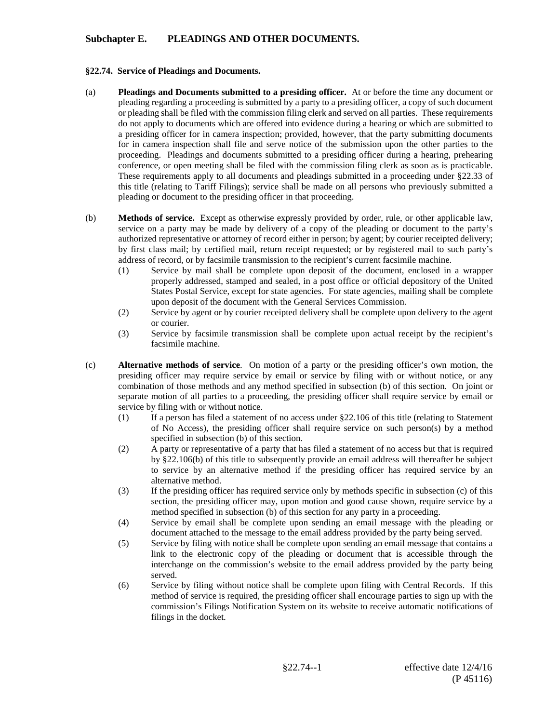## **Subchapter E. PLEADINGS AND OTHER DOCUMENTS.**

## **§22.74. Service of Pleadings and Documents.**

- (a) **Pleadings and Documents submitted to a presiding officer.** At or before the time any document or pleading regarding a proceeding is submitted by a party to a presiding officer, a copy of such document or pleading shall be filed with the commission filing clerk and served on all parties. These requirements do not apply to documents which are offered into evidence during a hearing or which are submitted to a presiding officer for in camera inspection; provided, however, that the party submitting documents for in camera inspection shall file and serve notice of the submission upon the other parties to the proceeding. Pleadings and documents submitted to a presiding officer during a hearing, prehearing conference, or open meeting shall be filed with the commission filing clerk as soon as is practicable. These requirements apply to all documents and pleadings submitted in a proceeding under §22.33 of this title (relating to Tariff Filings); service shall be made on all persons who previously submitted a pleading or document to the presiding officer in that proceeding.
- (b) **Methods of service.** Except as otherwise expressly provided by order, rule, or other applicable law, service on a party may be made by delivery of a copy of the pleading or document to the party's authorized representative or attorney of record either in person; by agent; by courier receipted delivery; by first class mail; by certified mail, return receipt requested; or by registered mail to such party's address of record, or by facsimile transmission to the recipient's current facsimile machine.
	- (1) Service by mail shall be complete upon deposit of the document, enclosed in a wrapper properly addressed, stamped and sealed, in a post office or official depository of the United States Postal Service, except for state agencies. For state agencies, mailing shall be complete upon deposit of the document with the General Services Commission.
	- (2) Service by agent or by courier receipted delivery shall be complete upon delivery to the agent or courier.
	- (3) Service by facsimile transmission shall be complete upon actual receipt by the recipient's facsimile machine.
- (c) **Alternative methods of service**. On motion of a party or the presiding officer's own motion, the presiding officer may require service by email or service by filing with or without notice, or any combination of those methods and any method specified in subsection (b) of this section. On joint or separate motion of all parties to a proceeding, the presiding officer shall require service by email or service by filing with or without notice.
	- (1) If a person has filed a statement of no access under §22.106 of this title (relating to Statement of No Access), the presiding officer shall require service on such person(s) by a method specified in subsection (b) of this section.
	- (2) A party or representative of a party that has filed a statement of no access but that is required by §22.106(b) of this title to subsequently provide an email address will thereafter be subject to service by an alternative method if the presiding officer has required service by an alternative method.
	- (3) If the presiding officer has required service only by methods specific in subsection (c) of this section, the presiding officer may, upon motion and good cause shown, require service by a method specified in subsection (b) of this section for any party in a proceeding.
	- (4) Service by email shall be complete upon sending an email message with the pleading or document attached to the message to the email address provided by the party being served.
	- (5) Service by filing with notice shall be complete upon sending an email message that contains a link to the electronic copy of the pleading or document that is accessible through the interchange on the commission's website to the email address provided by the party being served.
	- (6) Service by filing without notice shall be complete upon filing with Central Records. If this method of service is required, the presiding officer shall encourage parties to sign up with the commission's Filings Notification System on its website to receive automatic notifications of filings in the docket.